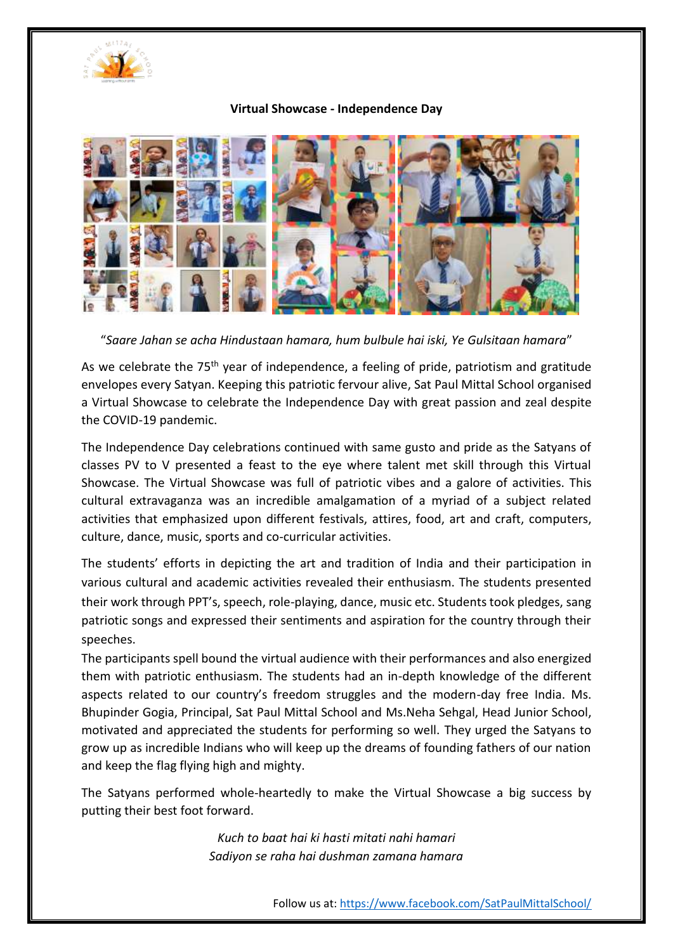

## **Virtual Showcase - Independence Day**



"*Saare Jahan se acha Hindustaan hamara, hum bulbule hai iski, Ye Gulsitaan hamara*"

As we celebrate the 75<sup>th</sup> year of independence, a feeling of pride, patriotism and gratitude envelopes every Satyan. Keeping this patriotic fervour alive, Sat Paul Mittal School organised a Virtual Showcase to celebrate the Independence Day with great passion and zeal despite the COVID-19 pandemic.

The Independence Day celebrations continued with same gusto and pride as the Satyans of classes PV to V presented a feast to the eye where talent met skill through this Virtual Showcase. The Virtual Showcase was full of patriotic vibes and a galore of activities. This cultural extravaganza was an incredible amalgamation of a myriad of a subject related activities that emphasized upon different festivals, attires, food, art and craft, computers, culture, dance, music, sports and co-curricular activities.

The students' efforts in depicting the art and tradition of India and their participation in various cultural and academic activities revealed their enthusiasm. The students presented their work through PPT's, speech, role-playing, dance, music etc. Students took pledges, sang patriotic songs and expressed their sentiments and aspiration for the country through their speeches.

The participants spell bound the virtual audience with their performances and also energized them with patriotic enthusiasm. The students had an in-depth knowledge of the different aspects related to our country's freedom struggles and the modern-day free India. Ms. Bhupinder Gogia, Principal, Sat Paul Mittal School and Ms.Neha Sehgal, Head Junior School, motivated and appreciated the students for performing so well. They urged the Satyans to grow up as incredible Indians who will keep up the dreams of founding fathers of our nation and keep the flag flying high and mighty.

The Satyans performed whole-heartedly to make the Virtual Showcase a big success by putting their best foot forward.

> *Kuch to baat hai ki hasti mitati nahi hamari Sadiyon se raha hai dushman zamana hamara*

> > Follow us at[: https://www.facebook.com/SatPaulMittalSchool/](https://www.facebook.com/SatPaulMittalSchool/)